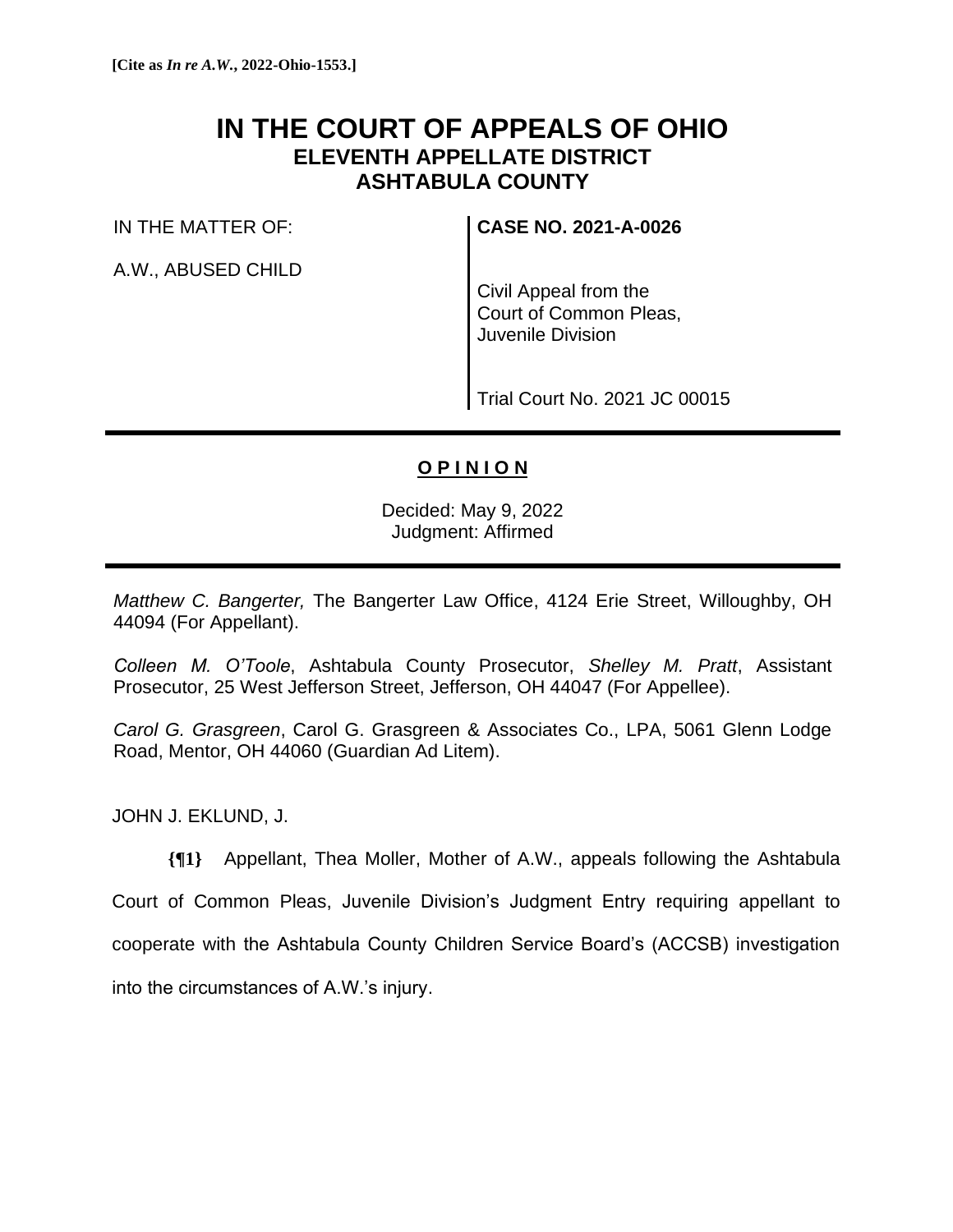# **IN THE COURT OF APPEALS OF OHIO ELEVENTH APPELLATE DISTRICT ASHTABULA COUNTY**

IN THE MATTER OF:

A.W., ABUSED CHILD

**CASE NO. 2021-A-0026**

Civil Appeal from the Court of Common Pleas, Juvenile Division

Trial Court No. 2021 JC 00015

## **O P I N I O N**

Decided: May 9, 2022 Judgment: Affirmed

*Matthew C. Bangerter,* The Bangerter Law Office, 4124 Erie Street, Willoughby, OH 44094 (For Appellant).

*Colleen M. O'Toole*, Ashtabula County Prosecutor, *Shelley M. Pratt*, Assistant Prosecutor, 25 West Jefferson Street, Jefferson, OH 44047 (For Appellee).

*Carol G. Grasgreen*, Carol G. Grasgreen & Associates Co., LPA, 5061 Glenn Lodge Road, Mentor, OH 44060 (Guardian Ad Litem).

JOHN J. EKLUND, J.

**{¶1}** Appellant, Thea Moller, Mother of A.W., appeals following the Ashtabula Court of Common Pleas, Juvenile Division's Judgment Entry requiring appellant to cooperate with the Ashtabula County Children Service Board's (ACCSB) investigation into the circumstances of A.W.'s injury.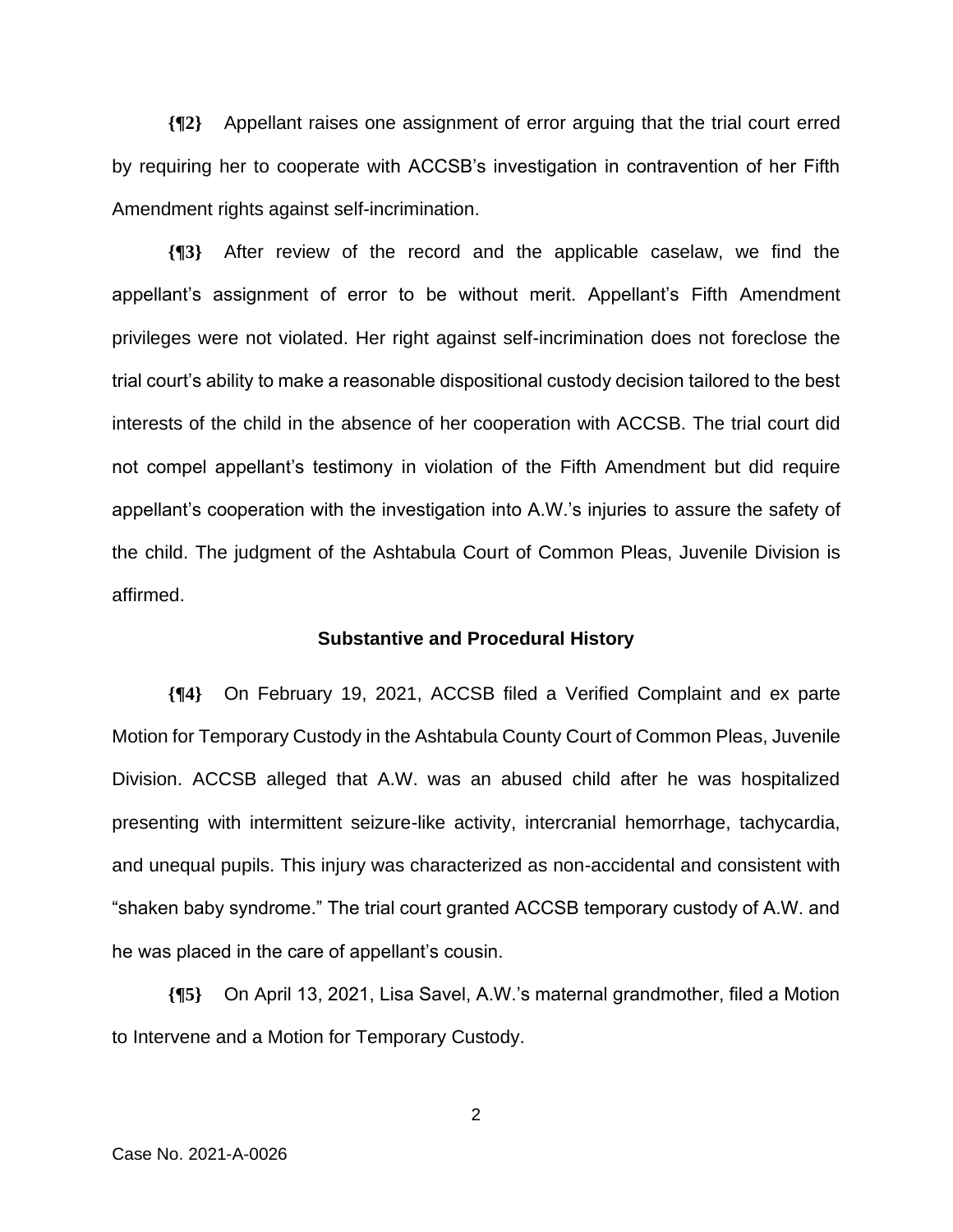**{¶2}** Appellant raises one assignment of error arguing that the trial court erred by requiring her to cooperate with ACCSB's investigation in contravention of her Fifth Amendment rights against self-incrimination.

**{¶3}** After review of the record and the applicable caselaw, we find the appellant's assignment of error to be without merit. Appellant's Fifth Amendment privileges were not violated. Her right against self-incrimination does not foreclose the trial court's ability to make a reasonable dispositional custody decision tailored to the best interests of the child in the absence of her cooperation with ACCSB. The trial court did not compel appellant's testimony in violation of the Fifth Amendment but did require appellant's cooperation with the investigation into A.W.'s injuries to assure the safety of the child. The judgment of the Ashtabula Court of Common Pleas, Juvenile Division is affirmed.

#### **Substantive and Procedural History**

**{¶4}** On February 19, 2021, ACCSB filed a Verified Complaint and ex parte Motion for Temporary Custody in the Ashtabula County Court of Common Pleas, Juvenile Division. ACCSB alleged that A.W. was an abused child after he was hospitalized presenting with intermittent seizure-like activity, intercranial hemorrhage, tachycardia, and unequal pupils. This injury was characterized as non-accidental and consistent with "shaken baby syndrome." The trial court granted ACCSB temporary custody of A.W. and he was placed in the care of appellant's cousin.

**{¶5}** On April 13, 2021, Lisa Savel, A.W.'s maternal grandmother, filed a Motion to Intervene and a Motion for Temporary Custody.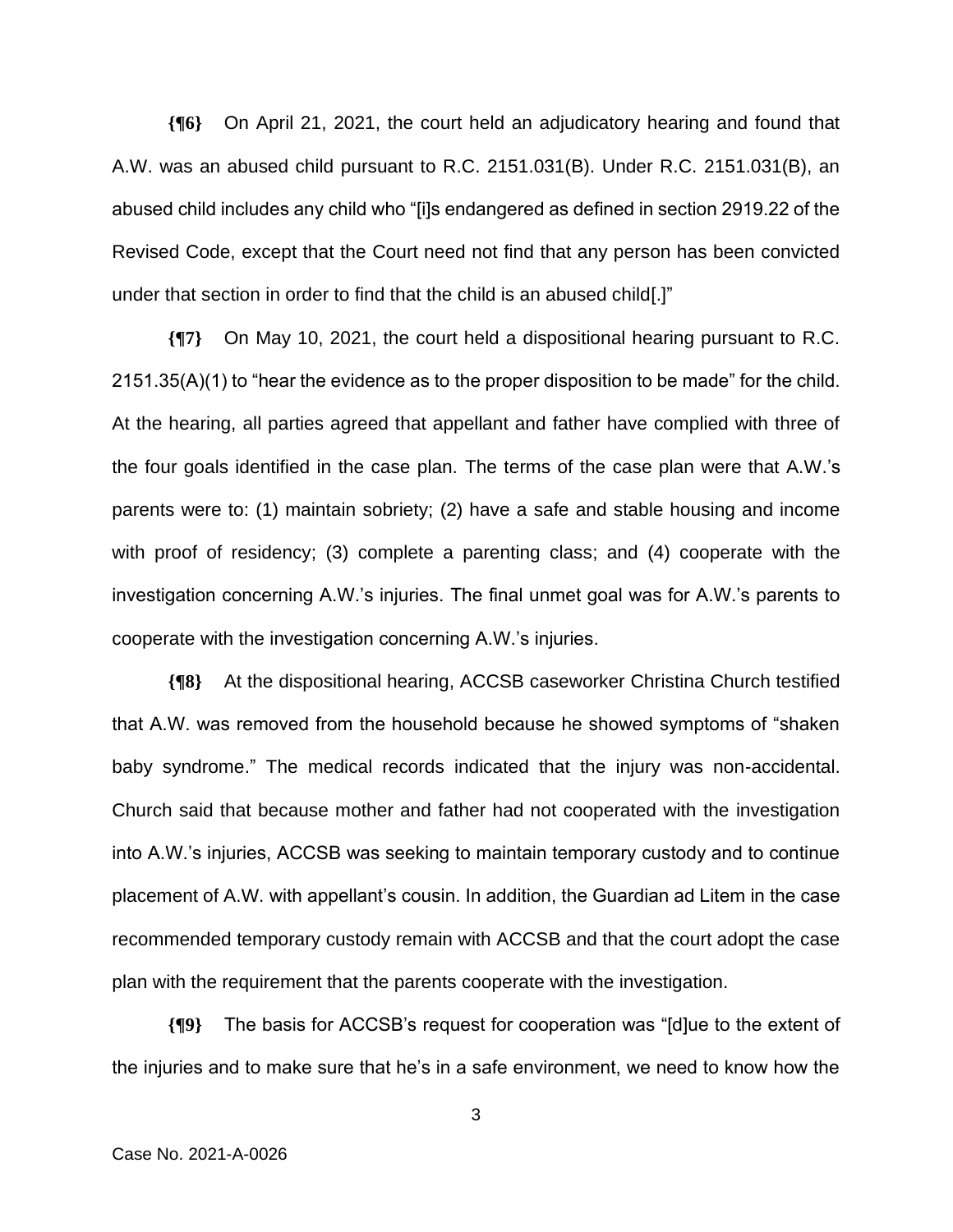**{¶6}** On April 21, 2021, the court held an adjudicatory hearing and found that A.W. was an abused child pursuant to R.C. 2151.031(B). Under R.C. 2151.031(B), an abused child includes any child who "[i]s endangered as defined in section 2919.22 of the Revised Code, except that the Court need not find that any person has been convicted under that section in order to find that the child is an abused child[.]"

**{¶7}** On May 10, 2021, the court held a dispositional hearing pursuant to R.C. 2151.35(A)(1) to "hear the evidence as to the proper disposition to be made" for the child. At the hearing, all parties agreed that appellant and father have complied with three of the four goals identified in the case plan. The terms of the case plan were that A.W.'s parents were to: (1) maintain sobriety; (2) have a safe and stable housing and income with proof of residency; (3) complete a parenting class; and (4) cooperate with the investigation concerning A.W.'s injuries. The final unmet goal was for A.W.'s parents to cooperate with the investigation concerning A.W.'s injuries.

**{¶8}** At the dispositional hearing, ACCSB caseworker Christina Church testified that A.W. was removed from the household because he showed symptoms of "shaken baby syndrome." The medical records indicated that the injury was non-accidental. Church said that because mother and father had not cooperated with the investigation into A.W.'s injuries, ACCSB was seeking to maintain temporary custody and to continue placement of A.W. with appellant's cousin. In addition, the Guardian ad Litem in the case recommended temporary custody remain with ACCSB and that the court adopt the case plan with the requirement that the parents cooperate with the investigation.

**{¶9}** The basis for ACCSB's request for cooperation was "[d]ue to the extent of the injuries and to make sure that he's in a safe environment, we need to know how the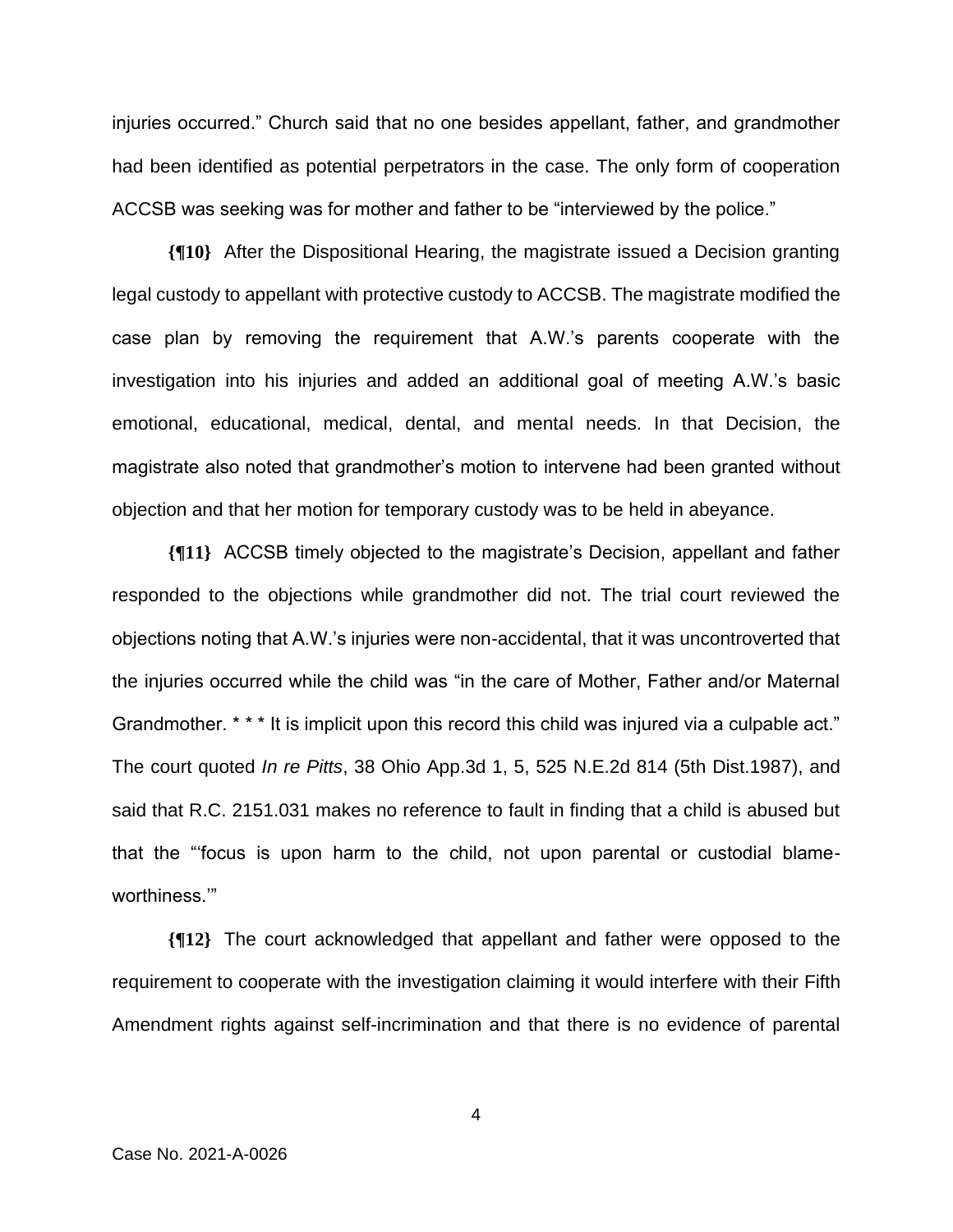injuries occurred." Church said that no one besides appellant, father, and grandmother had been identified as potential perpetrators in the case. The only form of cooperation ACCSB was seeking was for mother and father to be "interviewed by the police."

**{¶10}** After the Dispositional Hearing, the magistrate issued a Decision granting legal custody to appellant with protective custody to ACCSB. The magistrate modified the case plan by removing the requirement that A.W.'s parents cooperate with the investigation into his injuries and added an additional goal of meeting A.W.'s basic emotional, educational, medical, dental, and mental needs. In that Decision, the magistrate also noted that grandmother's motion to intervene had been granted without objection and that her motion for temporary custody was to be held in abeyance.

**{¶11}** ACCSB timely objected to the magistrate's Decision, appellant and father responded to the objections while grandmother did not. The trial court reviewed the objections noting that A.W.'s injuries were non-accidental, that it was uncontroverted that the injuries occurred while the child was "in the care of Mother, Father and/or Maternal Grandmother. \* \* \* It is implicit upon this record this child was injured via a culpable act." The court quoted *In re Pitts*, 38 Ohio App.3d 1, 5, 525 N.E.2d 814 (5th Dist.1987), and said that R.C. 2151.031 makes no reference to fault in finding that a child is abused but that the "'focus is upon harm to the child, not upon parental or custodial blameworthiness.'"

**{¶12}** The court acknowledged that appellant and father were opposed to the requirement to cooperate with the investigation claiming it would interfere with their Fifth Amendment rights against self-incrimination and that there is no evidence of parental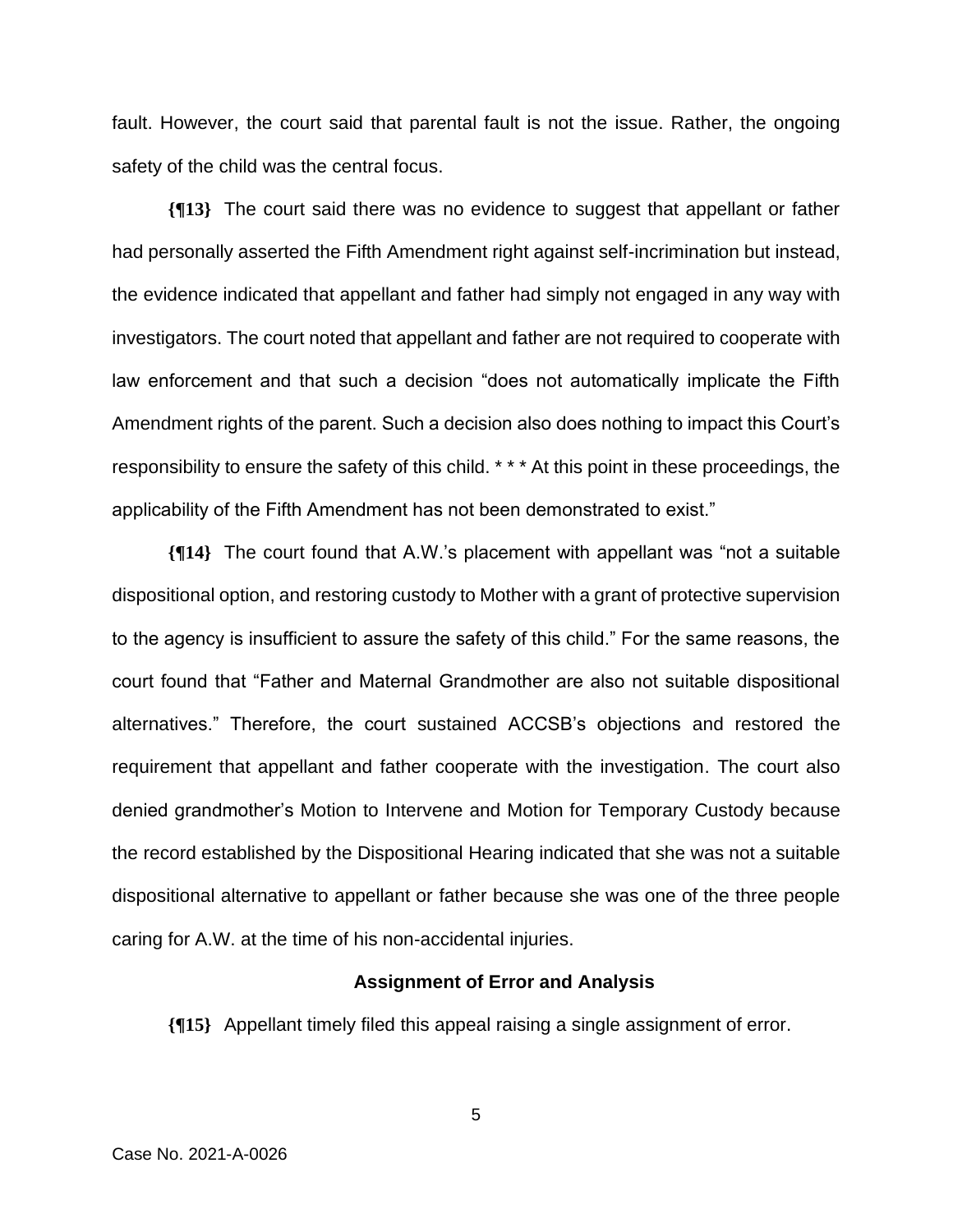fault. However, the court said that parental fault is not the issue. Rather, the ongoing safety of the child was the central focus.

**{¶13}** The court said there was no evidence to suggest that appellant or father had personally asserted the Fifth Amendment right against self-incrimination but instead, the evidence indicated that appellant and father had simply not engaged in any way with investigators. The court noted that appellant and father are not required to cooperate with law enforcement and that such a decision "does not automatically implicate the Fifth Amendment rights of the parent. Such a decision also does nothing to impact this Court's responsibility to ensure the safety of this child. \* \* \* At this point in these proceedings, the applicability of the Fifth Amendment has not been demonstrated to exist."

**{¶14}** The court found that A.W.'s placement with appellant was "not a suitable dispositional option, and restoring custody to Mother with a grant of protective supervision to the agency is insufficient to assure the safety of this child." For the same reasons, the court found that "Father and Maternal Grandmother are also not suitable dispositional alternatives." Therefore, the court sustained ACCSB's objections and restored the requirement that appellant and father cooperate with the investigation. The court also denied grandmother's Motion to Intervene and Motion for Temporary Custody because the record established by the Dispositional Hearing indicated that she was not a suitable dispositional alternative to appellant or father because she was one of the three people caring for A.W. at the time of his non-accidental injuries.

#### **Assignment of Error and Analysis**

**{¶15}** Appellant timely filed this appeal raising a single assignment of error.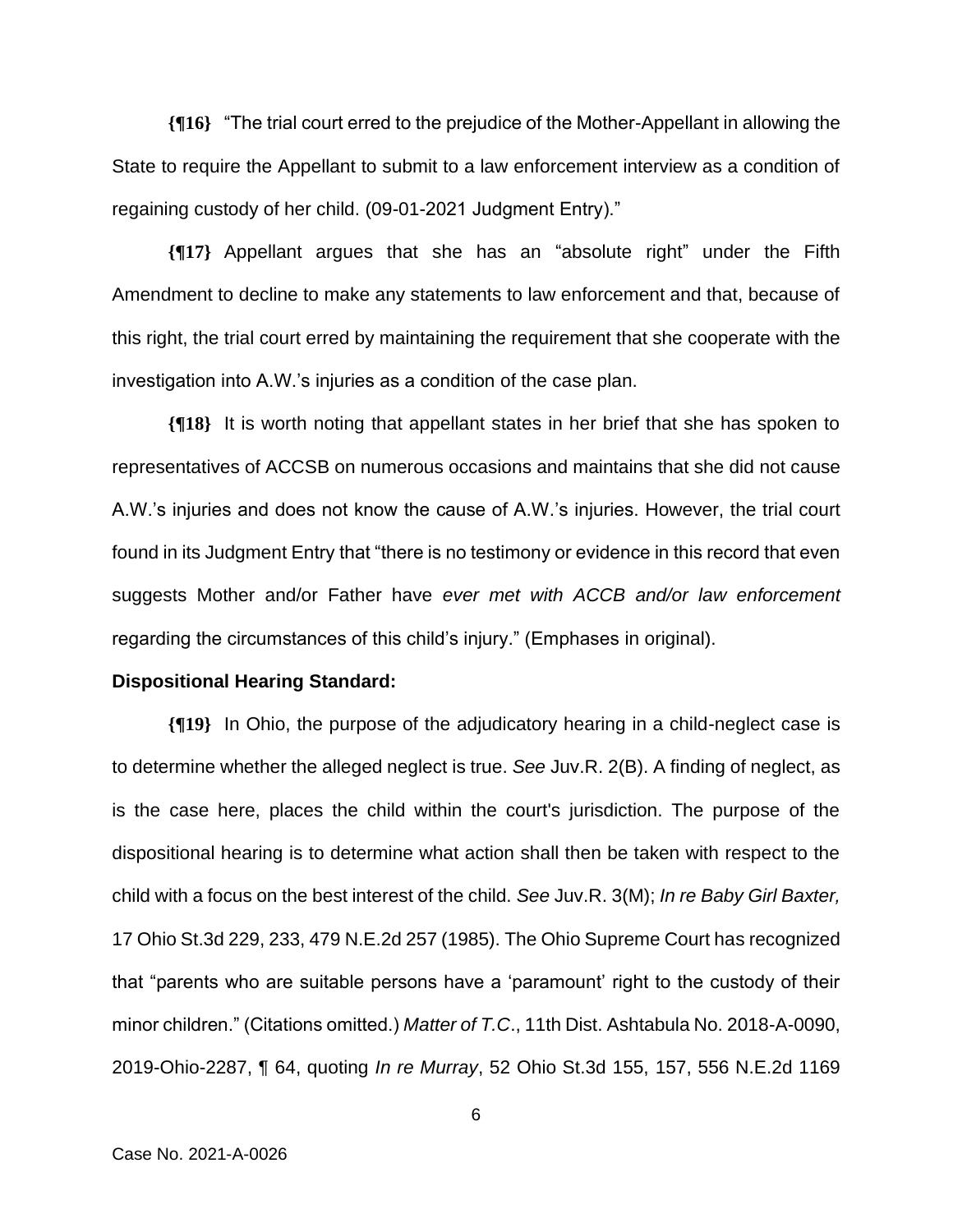**{¶16}** "The trial court erred to the prejudice of the Mother-Appellant in allowing the State to require the Appellant to submit to a law enforcement interview as a condition of regaining custody of her child. (09-01-2021 Judgment Entry)."

**{¶17}** Appellant argues that she has an "absolute right" under the Fifth Amendment to decline to make any statements to law enforcement and that, because of this right, the trial court erred by maintaining the requirement that she cooperate with the investigation into A.W.'s injuries as a condition of the case plan.

**{¶18}** It is worth noting that appellant states in her brief that she has spoken to representatives of ACCSB on numerous occasions and maintains that she did not cause A.W.'s injuries and does not know the cause of A.W.'s injuries. However, the trial court found in its Judgment Entry that "there is no testimony or evidence in this record that even suggests Mother and/or Father have *ever met with ACCB and/or law enforcement*  regarding the circumstances of this child's injury." (Emphases in original).

#### **Dispositional Hearing Standard:**

**{¶19}** In Ohio, the purpose of the adjudicatory hearing in a child-neglect case is to determine whether the alleged neglect is true. *See* Juv.R. 2(B). A finding of neglect, as is the case here, places the child within the court's jurisdiction. The purpose of the dispositional hearing is to determine what action shall then be taken with respect to the child with a focus on the best interest of the child. *See* Juv.R. 3(M); *In re Baby Girl Baxter,* 17 Ohio St.3d 229, 233, 479 N.E.2d 257 (1985). The Ohio Supreme Court has recognized that "parents who are suitable persons have a 'paramount' right to the custody of their minor children." (Citations omitted.) *Matter of T.C*., 11th Dist. Ashtabula No. 2018-A-0090, 2019-Ohio-2287, ¶ 64, quoting *In re Murray*, 52 Ohio St.3d 155, 157, 556 N.E.2d 1169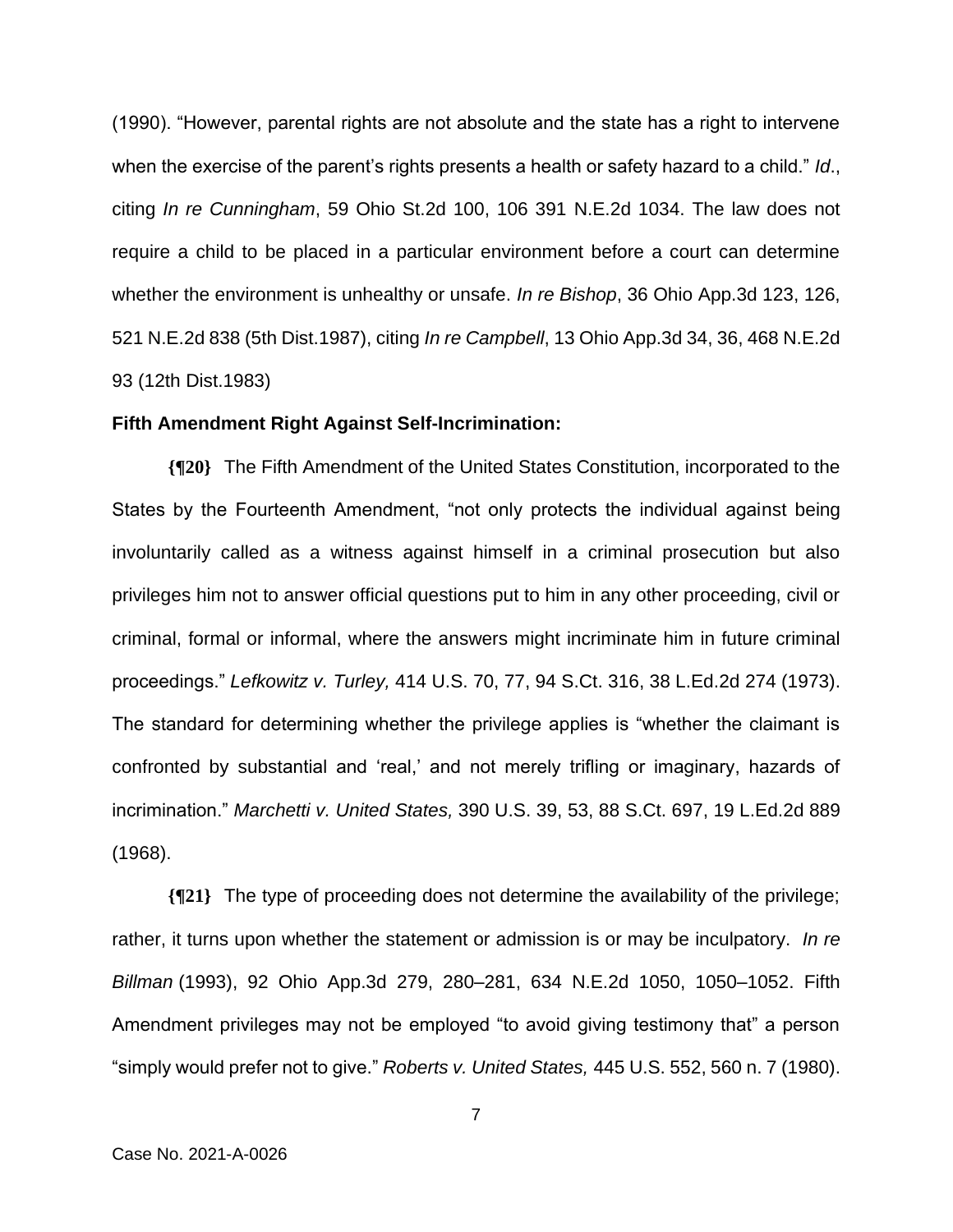(1990). "However, parental rights are not absolute and the state has a right to intervene when the exercise of the parent's rights presents a health or safety hazard to a child." *Id*., citing *In re Cunningham*, 59 Ohio St.2d 100, 106 391 N.E.2d 1034. The law does not require a child to be placed in a particular environment before a court can determine whether the environment is unhealthy or unsafe. *In re Bishop*, 36 Ohio App.3d 123, 126, 521 N.E.2d 838 (5th Dist.1987), citing *In re Campbell*, 13 Ohio App.3d 34, 36, 468 N.E.2d 93 (12th Dist.1983)

### **Fifth Amendment Right Against Self-Incrimination:**

**{¶20}** The Fifth Amendment of the United States Constitution, incorporated to the States by the Fourteenth Amendment, "not only protects the individual against being involuntarily called as a witness against himself in a criminal prosecution but also privileges him not to answer official questions put to him in any other proceeding, civil or criminal, formal or informal, where the answers might incriminate him in future criminal proceedings." *Lefkowitz v. Turley,* 414 U.S. 70, 77, 94 S.Ct. 316, 38 L.Ed.2d 274 (1973). The standard for determining whether the privilege applies is "whether the claimant is confronted by substantial and 'real,' and not merely trifling or imaginary, hazards of incrimination." *Marchetti v. United States,* 390 U.S. 39, 53, 88 S.Ct. 697, 19 L.Ed.2d 889 (1968).

**{¶21}** The type of proceeding does not determine the availability of the privilege; rather, it turns upon whether the statement or admission is or may be inculpatory. *In re Billman* (1993), 92 Ohio App.3d 279, 280–281, 634 N.E.2d 1050, 1050–1052. Fifth Amendment privileges may not be employed "to avoid giving testimony that" a person "simply would prefer not to give." *Roberts v. United States,* 445 U.S. 552, 560 n. 7 (1980).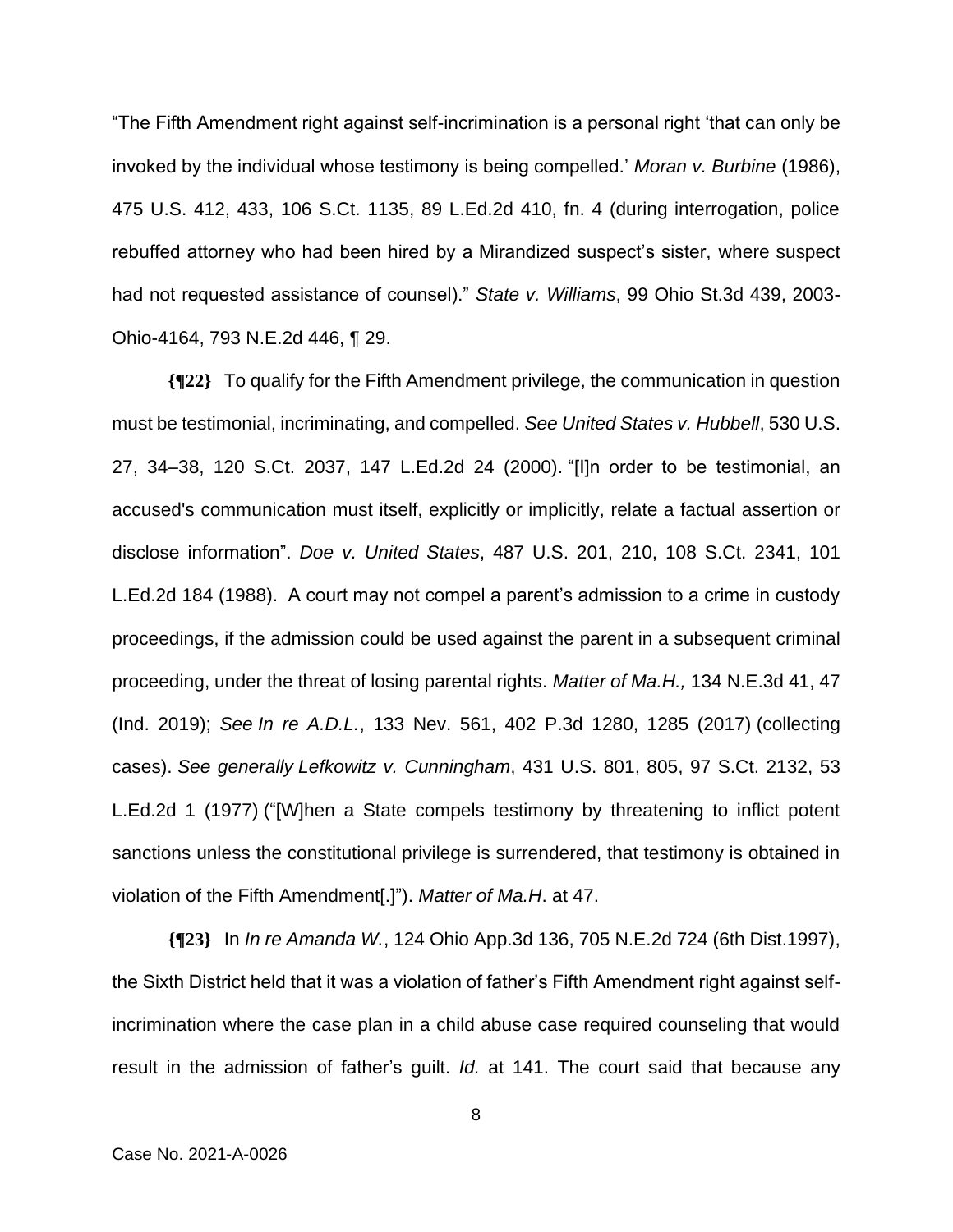"The Fifth Amendment right against self-incrimination is a personal right 'that can only be invoked by the individual whose testimony is being compelled.' *Moran v. Burbine* (1986), 475 U.S. 412, 433, 106 S.Ct. 1135, 89 L.Ed.2d 410, fn. 4 (during interrogation, police rebuffed attorney who had been hired by a Mirandized suspect's sister, where suspect had not requested assistance of counsel)." *State v. Williams*, 99 Ohio St.3d 439, 2003- Ohio-4164, 793 N.E.2d 446, ¶ 29.

**{¶22}** To qualify for the Fifth Amendment privilege, the communication in question must be testimonial, incriminating, and compelled. *See United States v. Hubbell*, 530 U.S. 27, 34–38, 120 S.Ct. 2037, 147 L.Ed.2d 24 (2000). "[I]n order to be testimonial, an accused's communication must itself, explicitly or implicitly, relate a factual assertion or disclose information". *Doe v. United States*, 487 U.S. 201, 210, 108 S.Ct. 2341, 101 L.Ed.2d 184 (1988). A court may not compel a parent's admission to a crime in custody proceedings, if the admission could be used against the parent in a subsequent criminal proceeding, under the threat of losing parental rights. *Matter of Ma.H.,* 134 N.E.3d 41, 47 (Ind. 2019); *See In re A.D.L.*, 133 Nev. 561, 402 P.3d 1280, 1285 (2017) (collecting cases). *See generally Lefkowitz v. Cunningham*, 431 U.S. 801, 805, 97 S.Ct. 2132, 53 L.Ed.2d 1 (1977) ("[W]hen a State compels testimony by threatening to inflict potent sanctions unless the constitutional privilege is surrendered, that testimony is obtained in violation of the Fifth Amendment[.]"). *Matter of Ma.H*. at 47.

**{¶23}** In *In re Amanda W.*, 124 Ohio App.3d 136, 705 N.E.2d 724 (6th Dist.1997), the Sixth District held that it was a violation of father's Fifth Amendment right against selfincrimination where the case plan in a child abuse case required counseling that would result in the admission of father's guilt. *Id.* at 141. The court said that because any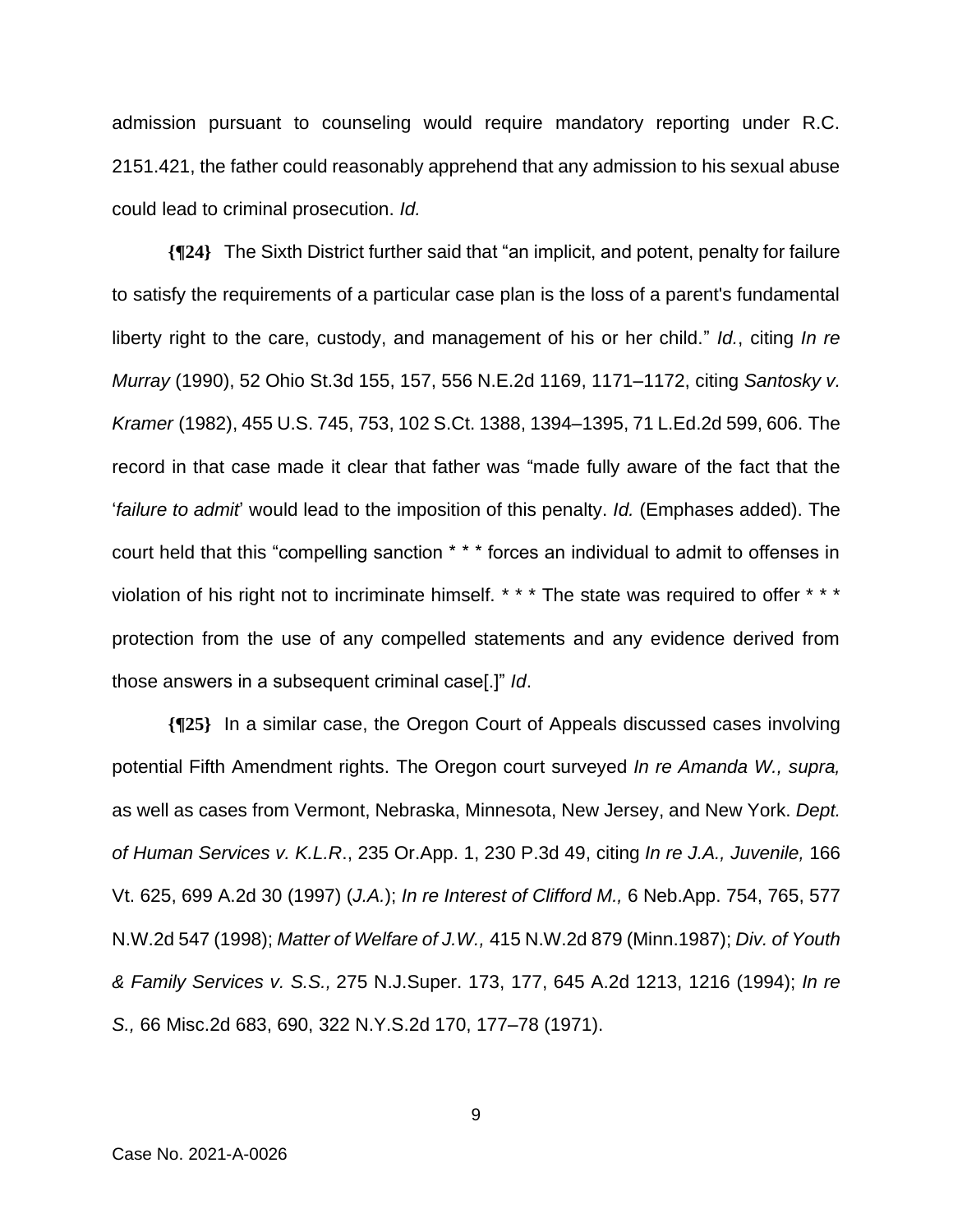admission pursuant to counseling would require mandatory reporting under R.C. 2151.421, the father could reasonably apprehend that any admission to his sexual abuse could lead to criminal prosecution. *Id.*

**{¶24}** The Sixth District further said that "an implicit, and potent, penalty for failure to satisfy the requirements of a particular case plan is the loss of a parent's fundamental liberty right to the care, custody, and management of his or her child." *Id.*, citing *In re Murray* (1990), 52 Ohio St.3d 155, 157, 556 N.E.2d 1169, 1171–1172, citing *Santosky v. Kramer* (1982), 455 U.S. 745, 753, 102 S.Ct. 1388, 1394–1395, 71 L.Ed.2d 599, 606. The record in that case made it clear that father was "made fully aware of the fact that the '*failure to admit*' would lead to the imposition of this penalty. *Id.* (Emphases added). The court held that this "compelling sanction \* \* \* forces an individual to admit to offenses in violation of his right not to incriminate himself. \* \* \* The state was required to offer \* \* \* protection from the use of any compelled statements and any evidence derived from those answers in a subsequent criminal case[.]" *Id*.

**{¶25}** In a similar case, the Oregon Court of Appeals discussed cases involving potential Fifth Amendment rights. The Oregon court surveyed *In re Amanda W., supra,*  as well as cases from Vermont, Nebraska, Minnesota, New Jersey, and New York. *Dept. of Human Services v. K.L.R*., 235 Or.App. 1, 230 P.3d 49, citing *In re J.A., Juvenile,* 166 Vt. 625, 699 A.2d 30 (1997) (*J.A.*); *In re Interest of Clifford M.,* 6 Neb.App. 754, 765, 577 N.W.2d 547 (1998); *Matter of Welfare of J.W.,* 415 N.W.2d 879 (Minn.1987); *Div. of Youth & Family Services v. S.S.,* 275 N.J.Super. 173, 177, 645 A.2d 1213, 1216 (1994); *In re S.,* 66 Misc.2d 683, 690, 322 N.Y.S.2d 170, 177–78 (1971).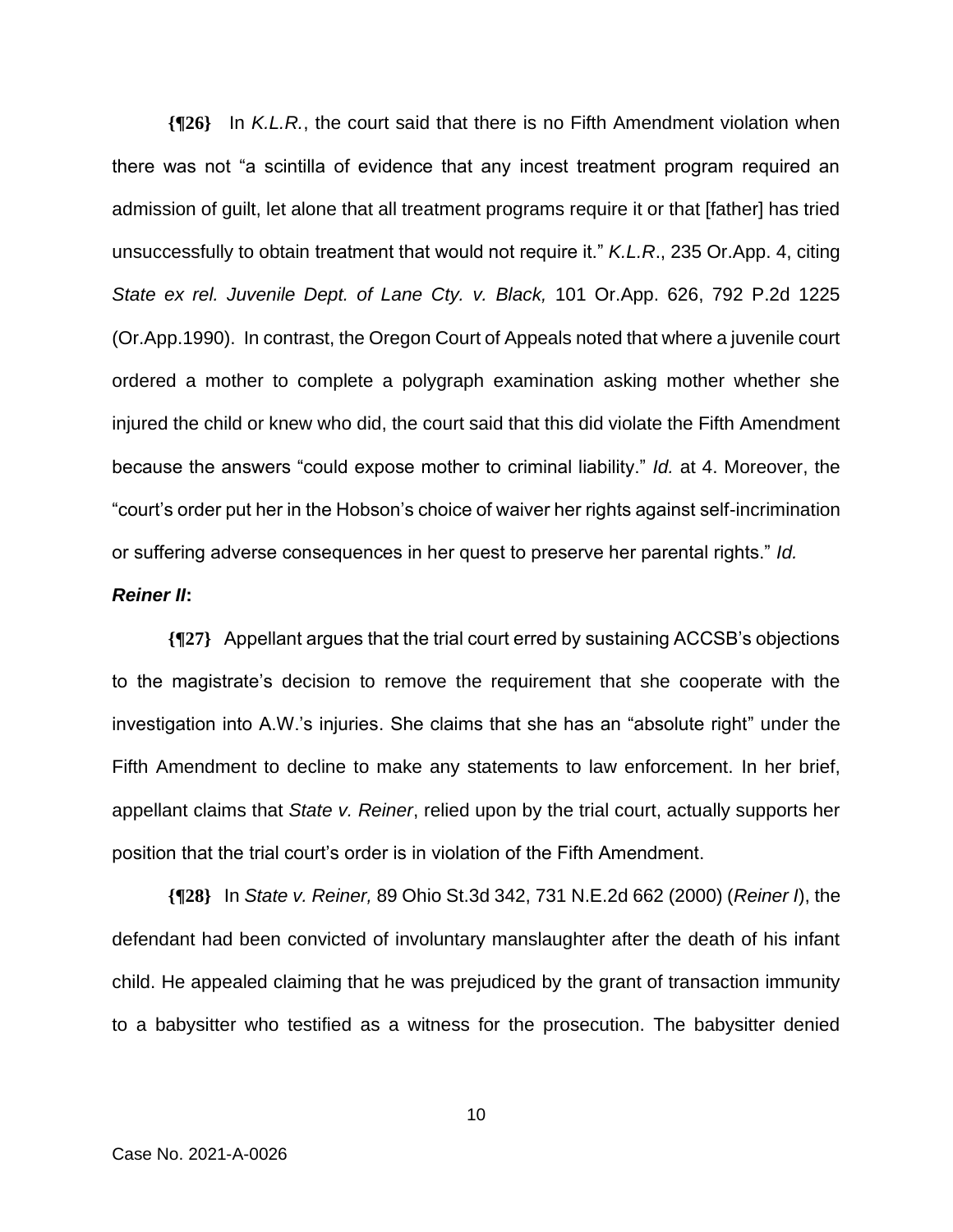**{¶26}** In *K.L.R.*, the court said that there is no Fifth Amendment violation when there was not "a scintilla of evidence that any incest treatment program required an admission of guilt, let alone that all treatment programs require it or that [father] has tried unsuccessfully to obtain treatment that would not require it." *K.L.R*., 235 Or.App. 4, citing *State ex rel. Juvenile Dept. of Lane Cty. v. Black,* 101 Or.App. 626, 792 P.2d 1225 (Or.App.1990). In contrast, the Oregon Court of Appeals noted that where a juvenile court ordered a mother to complete a polygraph examination asking mother whether she injured the child or knew who did, the court said that this did violate the Fifth Amendment because the answers "could expose mother to criminal liability." *Id.* at 4. Moreover, the "court's order put her in the Hobson's choice of waiver her rights against self-incrimination or suffering adverse consequences in her quest to preserve her parental rights." *Id.*

### *Reiner II***:**

**{¶27}** Appellant argues that the trial court erred by sustaining ACCSB's objections to the magistrate's decision to remove the requirement that she cooperate with the investigation into A.W.'s injuries. She claims that she has an "absolute right" under the Fifth Amendment to decline to make any statements to law enforcement. In her brief, appellant claims that *State v. Reiner*, relied upon by the trial court, actually supports her position that the trial court's order is in violation of the Fifth Amendment.

**{¶28}** In *State v. Reiner,* 89 Ohio St.3d 342, 731 N.E.2d 662 (2000) (*Reiner I*), the defendant had been convicted of involuntary manslaughter after the death of his infant child. He appealed claiming that he was prejudiced by the grant of transaction immunity to a babysitter who testified as a witness for the prosecution. The babysitter denied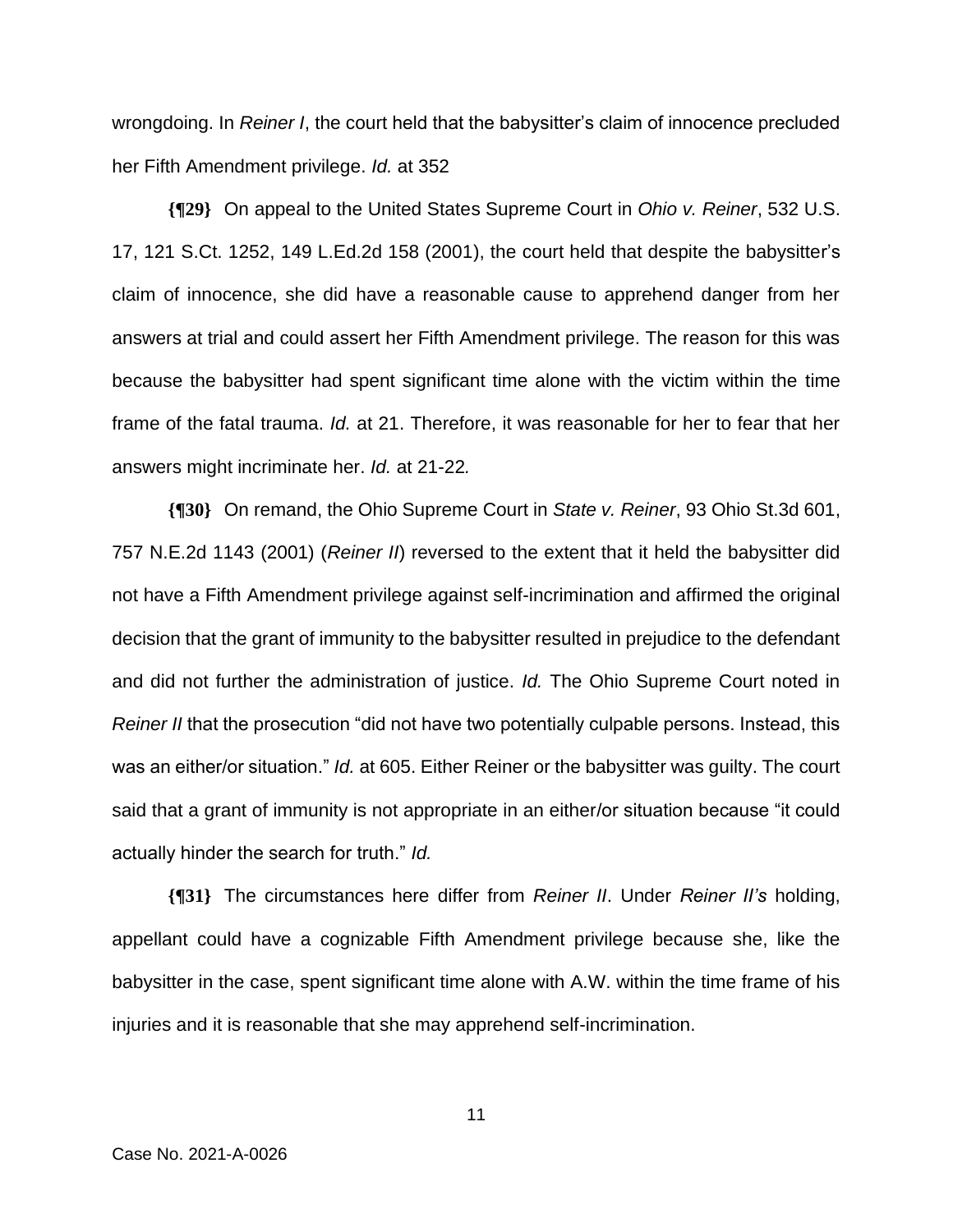wrongdoing. In *Reiner I*, the court held that the babysitter's claim of innocence precluded her Fifth Amendment privilege. *Id.* at 352

**{¶29}** On appeal to the United States Supreme Court in *Ohio v. Reiner*, 532 U.S. 17, 121 S.Ct. 1252, 149 L.Ed.2d 158 (2001), the court held that despite the babysitter's claim of innocence, she did have a reasonable cause to apprehend danger from her answers at trial and could assert her Fifth Amendment privilege. The reason for this was because the babysitter had spent significant time alone with the victim within the time frame of the fatal trauma. *Id.* at 21. Therefore, it was reasonable for her to fear that her answers might incriminate her. *Id.* at 21-22*.*

**{¶30}** On remand, the Ohio Supreme Court in *State v. Reiner*, 93 Ohio St.3d 601, 757 N.E.2d 1143 (2001) (*Reiner II*) reversed to the extent that it held the babysitter did not have a Fifth Amendment privilege against self-incrimination and affirmed the original decision that the grant of immunity to the babysitter resulted in prejudice to the defendant and did not further the administration of justice. *Id.* The Ohio Supreme Court noted in *Reiner II* that the prosecution "did not have two potentially culpable persons. Instead, this was an either/or situation." *Id.* at 605. Either Reiner or the babysitter was guilty. The court said that a grant of immunity is not appropriate in an either/or situation because "it could actually hinder the search for truth." *Id.*

**{¶31}** The circumstances here differ from *Reiner II*. Under *Reiner II's* holding, appellant could have a cognizable Fifth Amendment privilege because she, like the babysitter in the case, spent significant time alone with A.W. within the time frame of his injuries and it is reasonable that she may apprehend self-incrimination.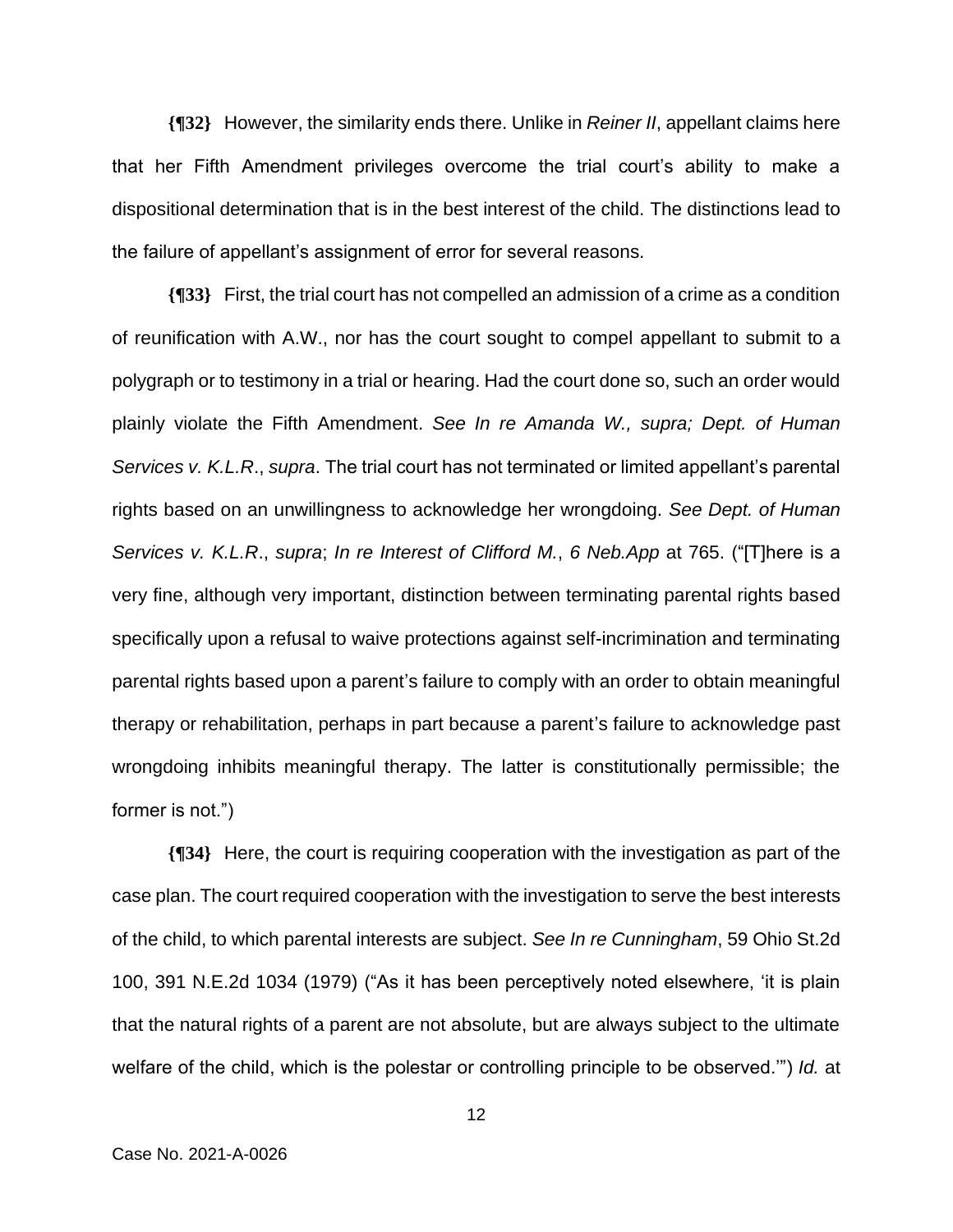**{¶32}** However, the similarity ends there. Unlike in *Reiner II*, appellant claims here that her Fifth Amendment privileges overcome the trial court's ability to make a dispositional determination that is in the best interest of the child. The distinctions lead to the failure of appellant's assignment of error for several reasons.

**{¶33}** First, the trial court has not compelled an admission of a crime as a condition of reunification with A.W., nor has the court sought to compel appellant to submit to a polygraph or to testimony in a trial or hearing. Had the court done so, such an order would plainly violate the Fifth Amendment. *See In re Amanda W., supra; Dept. of Human Services v. K.L.R*., *supra*. The trial court has not terminated or limited appellant's parental rights based on an unwillingness to acknowledge her wrongdoing. *See Dept. of Human Services v. K.L.R*., *supra*; *In re Interest of Clifford M.*, *6 Neb.App* at 765. ("[T]here is a very fine, although very important, distinction between terminating parental rights based specifically upon a refusal to waive protections against self-incrimination and terminating parental rights based upon a parent's failure to comply with an order to obtain meaningful therapy or rehabilitation, perhaps in part because a parent's failure to acknowledge past wrongdoing inhibits meaningful therapy. The latter is constitutionally permissible; the former is not.")

**{¶34}** Here, the court is requiring cooperation with the investigation as part of the case plan. The court required cooperation with the investigation to serve the best interests of the child, to which parental interests are subject. *See In re Cunningham*, 59 Ohio St.2d 100, 391 N.E.2d 1034 (1979) ("As it has been perceptively noted elsewhere, 'it is plain that the natural rights of a parent are not absolute, but are always subject to the ultimate welfare of the child, which is the polestar or controlling principle to be observed.'") *Id.* at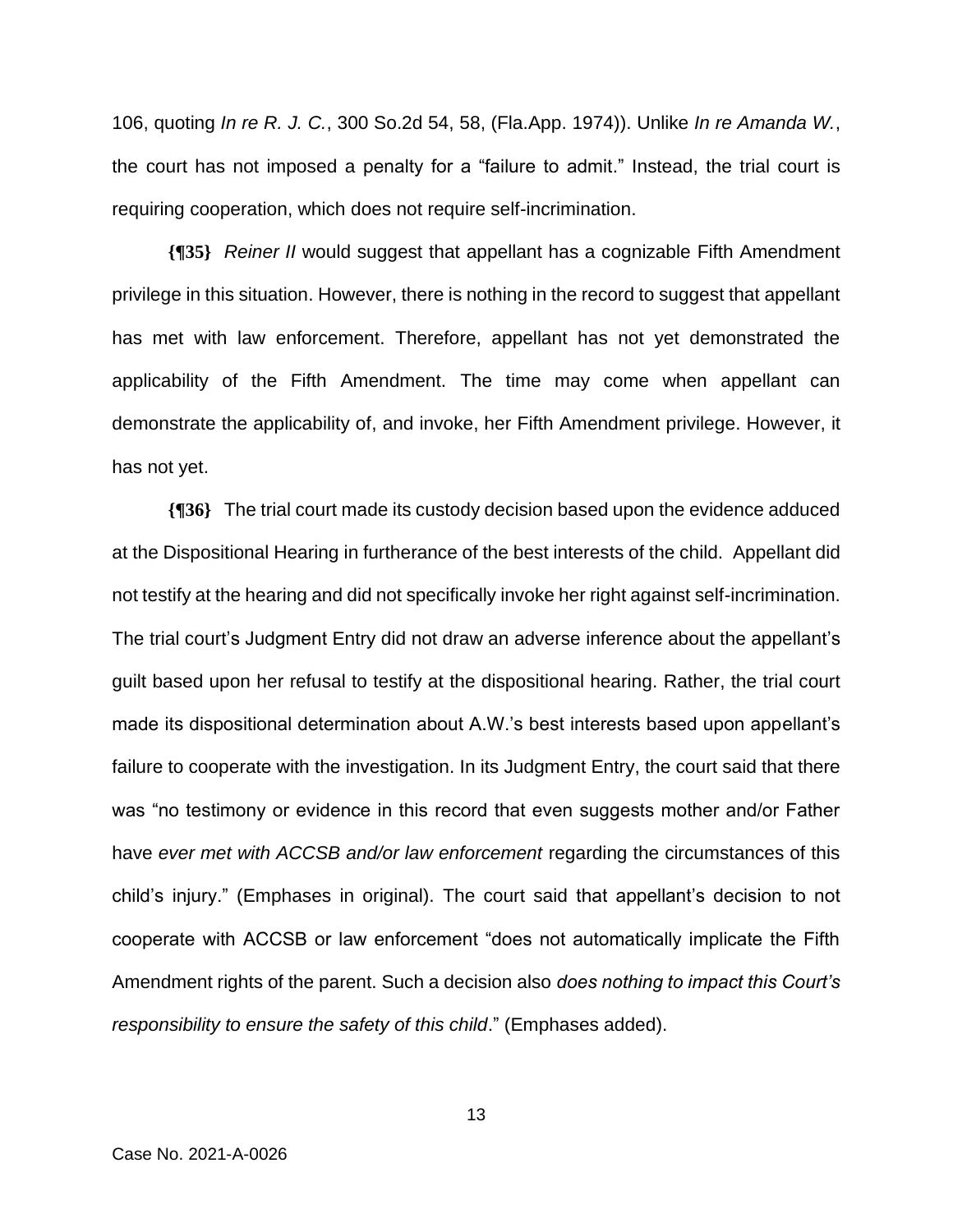106, quoting *In re R. J. C.*, 300 So.2d 54, 58, (Fla.App. 1974)). Unlike *In re Amanda W.*, the court has not imposed a penalty for a "failure to admit." Instead, the trial court is requiring cooperation, which does not require self-incrimination.

**{¶35}** *Reiner II* would suggest that appellant has a cognizable Fifth Amendment privilege in this situation. However, there is nothing in the record to suggest that appellant has met with law enforcement. Therefore, appellant has not yet demonstrated the applicability of the Fifth Amendment. The time may come when appellant can demonstrate the applicability of, and invoke, her Fifth Amendment privilege. However, it has not yet.

**{¶36}** The trial court made its custody decision based upon the evidence adduced at the Dispositional Hearing in furtherance of the best interests of the child. Appellant did not testify at the hearing and did not specifically invoke her right against self-incrimination. The trial court's Judgment Entry did not draw an adverse inference about the appellant's guilt based upon her refusal to testify at the dispositional hearing. Rather, the trial court made its dispositional determination about A.W.'s best interests based upon appellant's failure to cooperate with the investigation. In its Judgment Entry, the court said that there was "no testimony or evidence in this record that even suggests mother and/or Father have *ever met with ACCSB and/or law enforcement* regarding the circumstances of this child's injury." (Emphases in original). The court said that appellant's decision to not cooperate with ACCSB or law enforcement "does not automatically implicate the Fifth Amendment rights of the parent. Such a decision also *does nothing to impact this Court's responsibility to ensure the safety of this child*." (Emphases added).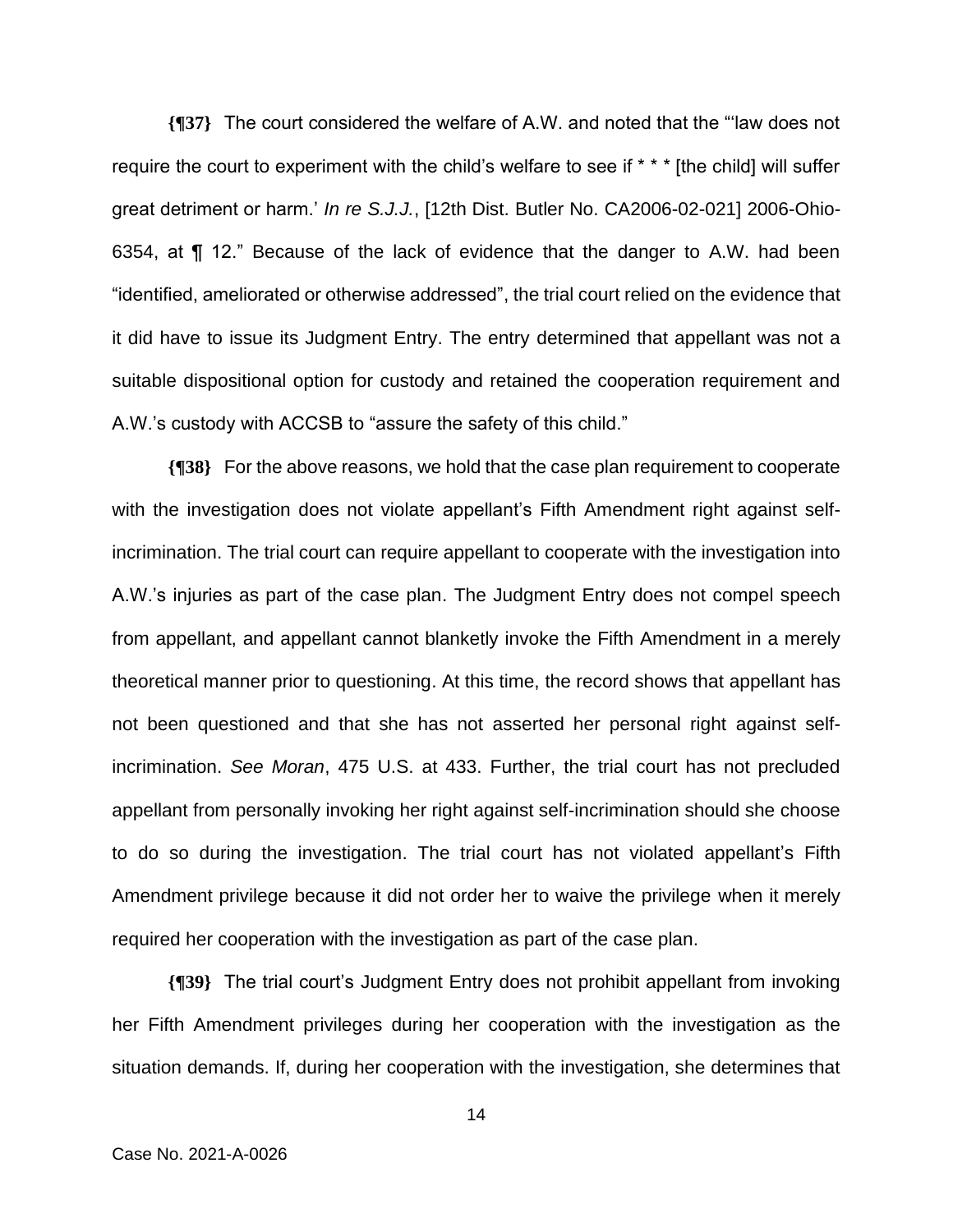**{¶37}** The court considered the welfare of A.W. and noted that the "'law does not require the court to experiment with the child's welfare to see if \* \* \* [the child] will suffer great detriment or harm.' *In re S.J.J.*, [12th Dist. Butler No. CA2006-02-021] 2006-Ohio-6354, at ¶ 12." Because of the lack of evidence that the danger to A.W. had been "identified, ameliorated or otherwise addressed", the trial court relied on the evidence that it did have to issue its Judgment Entry. The entry determined that appellant was not a suitable dispositional option for custody and retained the cooperation requirement and A.W.'s custody with ACCSB to "assure the safety of this child."

**{¶38}** For the above reasons, we hold that the case plan requirement to cooperate with the investigation does not violate appellant's Fifth Amendment right against selfincrimination. The trial court can require appellant to cooperate with the investigation into A.W.'s injuries as part of the case plan. The Judgment Entry does not compel speech from appellant, and appellant cannot blanketly invoke the Fifth Amendment in a merely theoretical manner prior to questioning. At this time, the record shows that appellant has not been questioned and that she has not asserted her personal right against selfincrimination. *See Moran*, 475 U.S. at 433. Further, the trial court has not precluded appellant from personally invoking her right against self-incrimination should she choose to do so during the investigation. The trial court has not violated appellant's Fifth Amendment privilege because it did not order her to waive the privilege when it merely required her cooperation with the investigation as part of the case plan.

**{¶39}** The trial court's Judgment Entry does not prohibit appellant from invoking her Fifth Amendment privileges during her cooperation with the investigation as the situation demands. If, during her cooperation with the investigation, she determines that